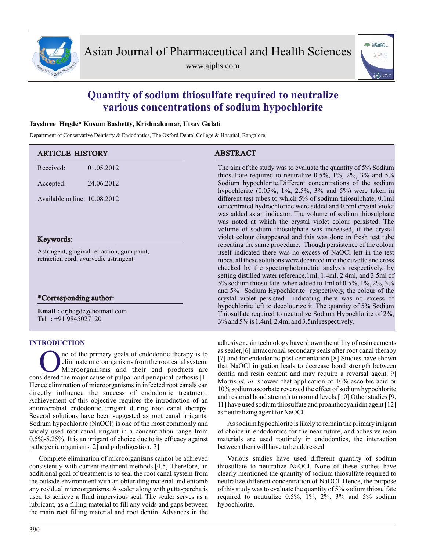

www.ajphs.com



# **Quantity of sodium thiosulfate required to neutralize various concentrations of sodium hypochlorite**

## **Jayshree Hegde\* Kusum Bashetty, Krishnakumar, Utsav Gulati**

Department of Conservative Dentistry & Endodontics, The Oxford Dental College & Hospital, Bangalore.

| <b>ARTICLE HISTORY</b>                                                               |            | <b>ABSTRACT</b>                                                                                                                                                                                                                                                                                                                                                                                                                                                                      |  |
|--------------------------------------------------------------------------------------|------------|--------------------------------------------------------------------------------------------------------------------------------------------------------------------------------------------------------------------------------------------------------------------------------------------------------------------------------------------------------------------------------------------------------------------------------------------------------------------------------------|--|
| Received:                                                                            | 01.05.2012 | The aim of the study was to evaluate the quantity of 5% Sodium<br>thiosulfate required to neutralize $0.5\%$ , $1\%$ , $2\%$ , $3\%$ and $5\%$                                                                                                                                                                                                                                                                                                                                       |  |
| Accepted:                                                                            | 24.06.2012 | Sodium hypochlorite.Different concentrations of the sodium<br>hypochlorite $(0.05\%, 1\%, 2.5\%, 3\%$ and $5\%)$ were taken in                                                                                                                                                                                                                                                                                                                                                       |  |
| Available online: 10.08.2012                                                         |            | different test tubes to which 5% of sodium thiosulphate, 0.1ml<br>concentrated hydrochloride were added and 0.5ml crystal violet<br>was added as an indicator. The volume of sodium thiosulphate<br>was noted at which the crystal violet colour persisted. The<br>volume of sodium thiosulphate was increased, if the crystal                                                                                                                                                       |  |
| Keywords:                                                                            |            | violet colour disappeared and this was done in fresh test tube                                                                                                                                                                                                                                                                                                                                                                                                                       |  |
| Astringent, gingival retraction, gum paint,<br>retraction cord, ayurvedic astringent |            | repeating the same procedure. Though persistence of the colour<br>itself indicated there was no excess of NaOCl left in the test<br>tubes, all these solutions were decanted into the cuvette and cross<br>checked by the spectrophotometric analysis respectively, by<br>setting distilled water reference. 1ml, 1.4ml, 2.4ml, and 3.5ml of<br>5% sodium thiosulfate when added to 1ml of 0.5%, $1\%$ , $2\%$ , $3\%$<br>and 5% Sodium Hypochlorite respectively, the colour of the |  |
| *Corresponding author:                                                               |            | crystal violet persisted indicating there was no excess of                                                                                                                                                                                                                                                                                                                                                                                                                           |  |
| <b>Email</b> : $drjhegde@hotmail.com$<br>Tel: +91 9845027120                         |            | hypochlorite left to decolourize it. The quantity of 5% Sodium<br>Thiosulfate required to neutralize Sodium Hypochlorite of 2%,<br>3% and 5% is 1.4ml, 2.4ml and 3.5ml respectively.                                                                                                                                                                                                                                                                                                 |  |
|                                                                                      |            |                                                                                                                                                                                                                                                                                                                                                                                                                                                                                      |  |

## **INTRODUCTION**

The of the primary goals of endodontic therapy is to eliminate microorganisms from the root canal system.<br>Microorganisms and their end products are considered the major cause of pulpal and periapical pathosis.[1] ne of the primary goals of endodontic therapy is to eliminate microorganisms from the root canal system. Microorganisms and their end products are Hence elimination of microorganisms in infected root canals can directly influence the success of endodontic treatment. Achievement of this objective requires the introduction of an antimicrobial endodontic irrigant during root canal therapy. Several solutions have been suggested as root canal irrigants. Sodium hypochlorite (NaOCl) is one of the most commonly and widely used root canal irrigant in a concentration range from 0.5%-5.25%. It is an irrigant of choice due to its efficacy against pathogenic organisms [2] and pulp digestion.[3]

Complete elimination of microorganisms cannot be achieved consistently with current treatment methods.[4,5] Therefore, an additional goal of treatment is to seal the root canal system from the outside environment with an obturating material and entomb any residual microorganisms. A sealer along with gutta-percha is used to achieve a fluid impervious seal. The sealer serves as a lubricant, as a filling material to fill any voids and gaps between the main root filling material and root dentin. Advances in the adhesive resin technology have shown the utility of resin cements as sealer,[6] intracoronal secondary seals after root canal therapy [7] and for endodontic post cementation.[8] Studies have shown that NaOCl irrigation leads to decrease bond strength between dentin and resin cement and may require a reversal agent.[9] Morris *et. al.* showed that application of 10% ascorbic acid or 10% sodium ascorbate reversed the effect of sodium hypochlorite and restored bond strength to normal levels.[10] Other studies [9, 11] have used sodium thiosulfate and proanthocyanidin agent [12] as neutralizing agent for NaOCl.

As sodium hypochlorite is likely to remain the primary irrigant of choice in endodontics for the near future, and adhesive resin materials are used routinely in endodontics, the interaction between them will have to be addressed.

Various studies have used different quantity of sodium thiosulfate to neutralize NaOCl. None of these studies have clearly mentioned the quantity of sodium thiosulfate required to neutralize different concentration of NaOCl. Hence, the purpose of this study was to evaluate the quantity of 5% sodium thiosulfate required to neutralize 0.5%, 1%, 2%, 3% and 5% sodium hypochlorite.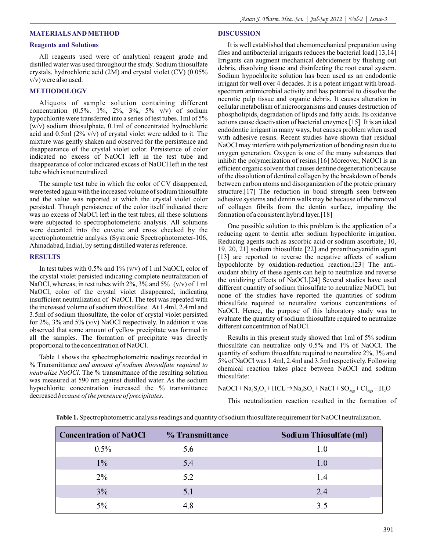#### *Asian J. Pharm. Hea. Sci. | Jul-Sep 2012 | Vol-2 | Issue-3*

### **MATERIALS AND METHOD**

#### **Reagents and Solutions**

All reagents used were of analytical reagent grade and distilled water was used throughout the study. Sodium thiosulfate crystals, hydrochloric acid (2M) and crystal violet (CV) (0.05% v/v) were also used.

#### **METHODOLOGY**

Aliquots of sample solution containing different concentration (0.5%. 1%, 2%, 3%, 5% v/v) of sodium hypochlorite were transferred into a series of test tubes. 1ml of 5% (w/v) sodium thiosulphate, 0.1ml of concentrated hydrochloric acid and 0.5ml (2% v/v) of crystal violet were added to it. The mixture was gently shaken and observed for the persistence and disappearance of the crystal violet color. Persistence of color indicated no excess of NaOCl left in the test tube and disappearance of color indicated excess of NaOCl left in the test tube which is not neutralized.

The sample test tube in which the color of CV disappeared, were tested again with the increased volume of sodium thiosulfate and the value was reported at which the crystal violet color persisted. Though persistence of the color itself indicated there was no excess of NaOCl left in the test tubes, all these solutions were subjected to spectrophotometeric analysis. All solutions were decanted into the cuvette and cross checked by the spectrophotometric analysis (Systronic Spectrophotometer-106, Ahmadabad, India), by setting distilled water as reference.

#### **RESULTS**

In test tubes with  $0.5\%$  and  $1\%$  (v/v) of 1 ml NaOCl, color of the crystal violet persisted indicating complete neutralization of NaOCl, whereas, in test tubes with  $2\%$ ,  $3\%$  and  $5\%$  (v/v) of 1 ml NaOCl, color of the crystal violet disappeared, indicating insufficient neutralization of NaOCl. The test was repeated with the increased volume of sodium thiosulfate. At 1.4ml, 2.4 ml and 3.5ml of sodium thiosulfate, the color of crystal violet persisted for  $2\%$ ,  $3\%$  and  $5\%$  (v/v) NaOCl respectively. In addition it was observed that some amount of yellow precipitate was formed in all the samples. The formation of precipitate was directly proportional to the concentration of NaOCl.

Table 1 shows the sphectrophotometric readings recorded in % Transmittance *and amount of sodium thiosulfate required to neutralize NaOCl.* The % transmittance of the resulting solution was measured at 590 nm against distilled water. As the sodium hypochlorite concentration increased the % transmittance decreased *because of the presence of precipitates.*

## **DISCUSSION**

It is well established that chemomechanical preparation using files and antibacterial irrigants reduces the bacterial load.[13,14] Irrigants can augment mechanical debridement by flushing out debris, dissolving tissue and disinfecting the root canal system. Sodium hypochlorite solution has been used as an endodontic irrigant for well over 4 decades. It is a potent irrigant with broadspectrum antimicrobial activity and has potential to dissolve the necrotic pulp tissue and organic debris. It causes alteration in cellular metabolism of microorganisms and causes destruction of phospholipids, degradation of lipids and fatty acids. Its oxidative actions cause deactivation of bacterial enzymes.[15] It is an ideal endodontic irrigant in many ways, but causes problem when used with adhesive resins. Recent studies have shown that residual NaOCl may interfere with polymerization of bonding resin due to oxygen generation. Oxygen is one of the many substances that inhibit the polymerization of resins.[16] Moreover, NaOCl is an efficient organic solvent that causes dentine degeneration because of the dissolution of dentinal collagen by the breakdown of bonds between carbon atoms and disorganization of the proteic primary structure.[17] The reduction in bond strength seen between adhesive systems and dentin walls may be because of the removal of collagen fibrils from the dentin surface, impeding the formation of a consistent hybrid layer.[18]

One possible solution to this problem is the application of a reducing agent to dentin after sodium hypochlorite irrigation. Reducing agents such as ascorbic acid or sodium ascorbate,[10, 19, 20, 21] sodium thiosulfate [22] and proanthocyanidin agent [13] are reported to reverse the negative affects of sodium hypochlorite by oxidation-reduction reaction.[23] The antioxidant ability of these agents can help to neutralize and reverse the oxidizing effects of NaOCl.[24] Several studies have used different quantity of sodium thiosulfate to neutralize NaOCl, but none of the studies have reported the quantities of sodium thiosulfate required to neutralize various concentrations of NaOCl. Hence, the purpose of this laboratory study was to evaluate the quantity of sodium thiosulfate required to neutralize different concentration of NaOCl.

Results in this present study showed that 1ml of 5% sodium thiosulfate can neutralize only 0.5% and 1% of NaOCl. The quantity of sodium thiosulfate required to neutralize 2%, 3% and 5% of NaOCl was 1.4ml, 2.4ml and 3.5ml respectively. Following chemical reaction takes place between NaOCl and sodium thiosulfate:

 $NaOCl + Na<sub>2</sub>S<sub>2</sub>O<sub>3</sub> + HCL \rightarrow Na<sub>2</sub>SO<sub>4</sub> + NaCl + SO<sub>2(g)</sub> + Cl<sub>2(g)</sub> + H<sub>2</sub>O$ 

This neutralization reaction resulted in the formation of

**Table 1.**Spectrophotometric analysis readings and quantity of sodium thiosulfate requirement for NaOCl neutralization.

| <b>Concentration of NaOCI</b> | % Transmittance | Sodium Thiosulfate (ml) |
|-------------------------------|-----------------|-------------------------|
| $0.5\%$                       | 5.6             | 1.0                     |
| $1\%$                         | 5.4             | 1.0                     |
| $2\%$                         | 5.2             | 1.4                     |
| 3%                            | 5.1             | 2.4                     |
| 5%                            | 4.8             | 3.5                     |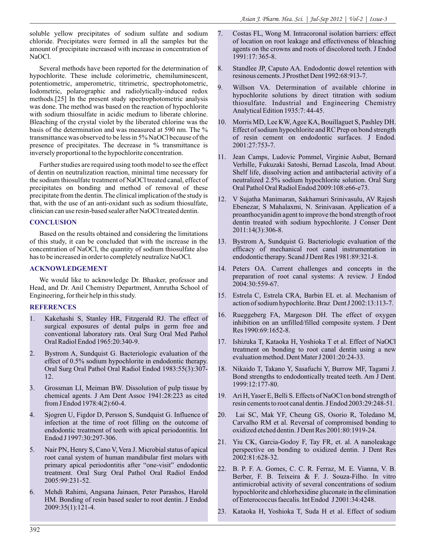soluble yellow precipitates of sodium sulfate and sodium chloride. Precipitates were formed in all the samples but the amount of precipitate increased with increase in concentration of NaOCl.

Several methods have been reported for the determination of hypochlorite. These include colorimetric, chemiluminescent, potentiometric, amperometric, titrimetric, spectrophotometric, Iodometric, polarographic and radiolytically-induced redox methods.[25] In the present study spectrophotometric analysis was done. The method was based on the reaction of hypochlorite with sodium thiosulfate in acidic medium to liberate chlorine. Bleaching of the crystal violet by the liberated chlorine was the basis of the determination and was measured at 590 nm. The % transmittance was observed to be less in 5% NaOCl because of the presence of precipitates. The decrease in % transmittance is inversely proportional to the hypochlorite concentration.

Further studies are required using tooth model to see the effect of dentin on neutralization reaction, minimal time necessary for the sodium thiosulfate treatment of NaOCl treated canal, effect of precipitates on bonding and method of removal of these precipitate from the dentin. The clinical implication of the study is that, with the use of an anti-oxidant such as sodium thiosulfate, clinician can use resin-based sealer after NaOCl treated dentin.

## **CONCLUSION**

Based on the results obtained and considering the limitations of this study, it can be concluded that with the increase in the concentration of NaOCl, the quantity of sodium thiosulfate also has to be increased in order to completely neutralize NaOCl.

## **ACKNOWLEDGEMENT**

We would like to acknowledge Dr. Bhasker, professor and Head, and Dr. Anil Chemistry Department, Amrutha School of Engineering, for their help in this study.

## **REFERENCES**

- 1. Kakehashi S, Stanley HR, Fitzgerald RJ. The effect of surgical exposures of dental pulps in germ free and conventional laboratory rats. Oral Surg Oral Med Pathol Oral Radiol Endod 1965:20:340-9.
- 2. Bystrom A, Sundquist G. Bacteriologic evaluation of the effect of 0.5% sodium hypochlorite in endodontic therapy. Oral Surg Oral Pathol Oral Radiol Endod 1983:55(3):307- 12.
- 3. Grossman LI, Meiman BW. Dissolution of pulp tissue by chemical agents. J Am Dent Assoc 1941:28:223 as cited from J Endod 1978:4(2):60-4.
- 4. Sjogren U, Figdor D, Persson S, Sundquist G. Influence of infection at the time of root filling on the outcome of endodontic treatment of teeth with apical periodontitis. Int Endod J 1997:30:297-306.
- 5. Nair PN, Henry S, Cano V, Vera J. Microbial status of apical root canal system of human mandibular first molars with primary apical periodontitis after "one-visit" endodontic treatment. Oral Surg Oral Pathol Oral Radiol Endod 2005:99:231-52.
- 6. Mehdi Rahimi, Angsana Jainaen, Peter Parashos, Harold HM. Bonding of resin based sealer to root dentin. J Endod 2009:35(1):121-4.
- 7. Costas FL, Wong M. Intracoronal isolation barriers: effect of location on root leakage and effectiveness of bleaching agents on the crowns and roots of discolored teeth. J Endod 1991:17: 365-8.
- 8. Standlee JP, Caputo AA. Endodontic dowel retention with resinous cements. J Prosthet Dent 1992:68:913-7.
- 9. Willson VA. Determination of available chlorine in hypochlorite solutions by direct titration with sodium thiosulfate. Industrial and Engineering Chemistry Analytical Edition 1935:7: 44-45.
- 10. Morris MD, Lee KW, Agee KA, Bouillaguet S, Pashley DH. Effect of sodium hypochlorite and RC Prep on bond strength of resin cement on endodontic surfaces. J Endod. 2001:27:753-7.
- 11. Jean Camps, Ludovic Pommel, Virginie Aubut, Bernard Verhille, Fukuzaki Satoshi, Bernad Lascola, Imad About. Shelf life, dissolving action and antibacterial activity of a neutralized 2.5% sodium hypochlorite solution. Oral Surg Oral Pathol Oral Radiol Endod 2009:108:e66-e73.
- 12. V Sujatha Manimaran, Sakhamuri Srinivasulu, AV Rajesh Ebenezar, S Mahalaxmi, N. Srinivasan. Application of a proanthocyanidin agent to improve the bond strength of root dentin treated with sodium hypochlorite. J Conser Dent 2011:14(3):306-8.
- 13. Bystrom A, Sundquist G. Bacteriologic evaluation of the efficacy of mechanical root canal instrumentation in endodontic therapy. Scand J Dent Res 1981:89:321-8.
- 14. Peters OA. Current challenges and concepts in the preparation of root canal systems: A review. J Endod 2004:30:559-67.
- 15. Estrela C, Estrela CRA, Barbin EL et. al. Mechanism of action of sodium hypochlorite. Braz Dent J 2002:13:113-7.
- 16. Rueggeberg FA, Margeson DH. The effect of oxygen inhibition on an unfilled/filled composite system. J Dent Res 1990:69:1652-8.
- 17. Ishizuka T, Kataoka H, Yoshioka T et al. Effect of NaOCl treatment on bonding to root canal dentin using a new evaluation method. Dent Mater J 2001:20:24-33.
- 18. Nikaido T, Takano Y, Sasafuchi Y, Burrow MF, Tagami J. Bond strengths to endodontically treated teeth. Am J Dent. 1999:12:177-80.
- 19. Ari H, Yaser E, Belli S. Effects of NaOCl on bond strength of resin cements to root canal dentin. J Endod 2003:29:248-51.
- 20. Lai SC, Mak YF, Cheung GS, Osorio R, Toledano M, Carvalho RM et al. Reversal of compromised bonding to oxidized etched dentin. J Dent Res 2001:80:1919-24.
- 21. Yiu CK, Garcia-Godoy F, Tay FR, et. al. A nanoleakage perspective on bonding to oxidized dentin. J Dent Res 2002:81:628-32.
- 22. B. P. F. A. Gomes, C. C. R. Ferraz, M. E. Vianna, V. B. Berber, F. B. Teixeira & F. J. Souza-Filho. In vitro antimicrobial activity of several concentrations of sodium hypochlorite and chlorhexidine gluconate in the elimination of Enterococcus faecalis. Int Endod J 2001:34:4248.
- 23. Kataoka H, Yoshioka T, Suda H et al. Effect of sodium